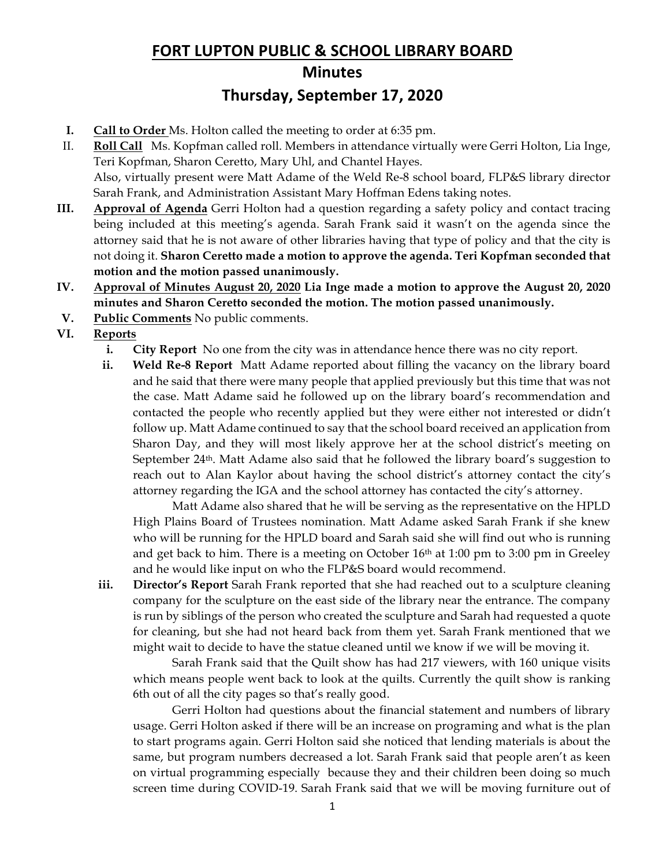# **FORT LUPTON PUBLIC & SCHOOL LIBRARY BOARD Minutes Thursday, September 17, 2020**

- **I. Call to Order** Ms. Holton called the meeting to order at 6:35 pm.
- II. **Roll Call** Ms. Kopfman called roll. Members in attendance virtually were Gerri Holton, Lia Inge, Teri Kopfman, Sharon Ceretto, Mary Uhl, and Chantel Hayes. Also, virtually present were Matt Adame of the Weld Re-8 school board, FLP&S library director Sarah Frank, and Administration Assistant Mary Hoffman Edens taking notes.
- **III. Approval of Agenda** Gerri Holton had a question regarding a safety policy and contact tracing being included at this meeting's agenda. Sarah Frank said it wasn't on the agenda since the attorney said that he is not aware of other libraries having that type of policy and that the city is not doing it. **Sharon Ceretto made a motion to approve the agenda. Teri Kopfman seconded that motion and the motion passed unanimously.**
- **IV. Approval of Minutes August 20, 2020 Lia Inge made a motion to approve the August 20, 2020 minutes and Sharon Ceretto seconded the motion. The motion passed unanimously.**
- **V. Public Comments** No public comments.
- **VI. Reports**
	- **i. City Report** No one from the city was in attendance hence there was no city report.
	- **ii. Weld Re-8 Report** Matt Adame reported about filling the vacancy on the library board and he said that there were many people that applied previously but this time that was not the case. Matt Adame said he followed up on the library board's recommendation and contacted the people who recently applied but they were either not interested or didn't follow up. Matt Adame continued to say that the school board received an application from Sharon Day, and they will most likely approve her at the school district's meeting on September 24th. Matt Adame also said that he followed the library board's suggestion to reach out to Alan Kaylor about having the school district's attorney contact the city's attorney regarding the IGA and the school attorney has contacted the city's attorney.

Matt Adame also shared that he will be serving as the representative on the HPLD High Plains Board of Trustees nomination. Matt Adame asked Sarah Frank if she knew who will be running for the HPLD board and Sarah said she will find out who is running and get back to him. There is a meeting on October 16<sup>th</sup> at 1:00 pm to 3:00 pm in Greeley and he would like input on who the FLP&S board would recommend.

**iii. Director's Report** Sarah Frank reported that she had reached out to a sculpture cleaning company for the sculpture on the east side of the library near the entrance. The company is run by siblings of the person who created the sculpture and Sarah had requested a quote for cleaning, but she had not heard back from them yet. Sarah Frank mentioned that we might wait to decide to have the statue cleaned until we know if we will be moving it.

Sarah Frank said that the Quilt show has had 217 viewers, with 160 unique visits which means people went back to look at the quilts. Currently the quilt show is ranking 6th out of all the city pages so that's really good.

Gerri Holton had questions about the financial statement and numbers of library usage. Gerri Holton asked if there will be an increase on programing and what is the plan to start programs again. Gerri Holton said she noticed that lending materials is about the same, but program numbers decreased a lot. Sarah Frank said that people aren't as keen on virtual programming especially because they and their children been doing so much screen time during COVID-19. Sarah Frank said that we will be moving furniture out of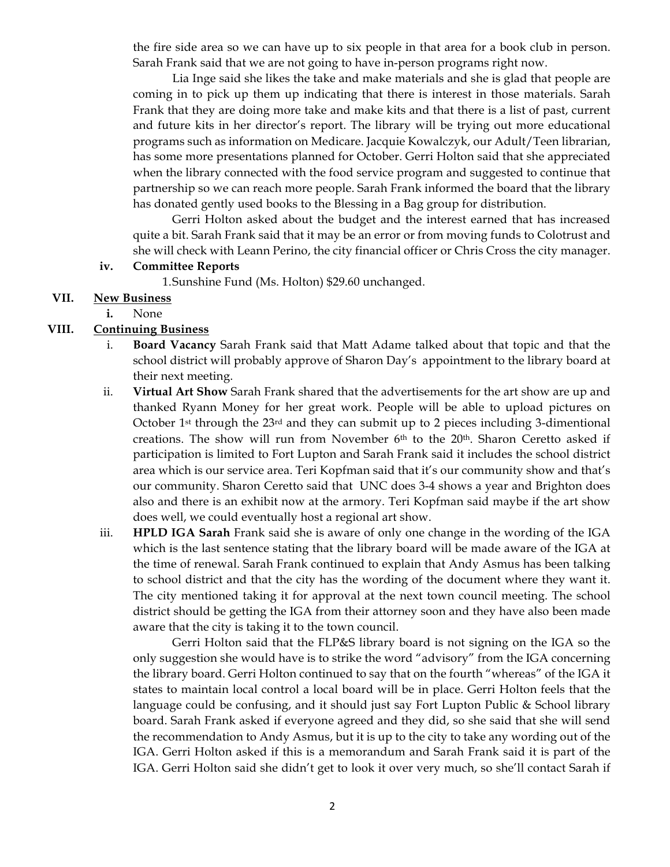the fire side area so we can have up to six people in that area for a book club in person. Sarah Frank said that we are not going to have in-person programs right now.

Lia Inge said she likes the take and make materials and she is glad that people are coming in to pick up them up indicating that there is interest in those materials. Sarah Frank that they are doing more take and make kits and that there is a list of past, current and future kits in her director's report. The library will be trying out more educational programs such as information on Medicare. Jacquie Kowalczyk, our Adult/Teen librarian, has some more presentations planned for October. Gerri Holton said that she appreciated when the library connected with the food service program and suggested to continue that partnership so we can reach more people. Sarah Frank informed the board that the library has donated gently used books to the Blessing in a Bag group for distribution.

Gerri Holton asked about the budget and the interest earned that has increased quite a bit. Sarah Frank said that it may be an error or from moving funds to Colotrust and she will check with Leann Perino, the city financial officer or Chris Cross the city manager.

#### **iv. Committee Reports**

1.Sunshine Fund (Ms. Holton) \$29.60 unchanged.

## **VII. New Business**

**i.** None

### **VIII. Continuing Business**

- i. **Board Vacancy** Sarah Frank said that Matt Adame talked about that topic and that the school district will probably approve of Sharon Day's appointment to the library board at their next meeting.
- ii. **Virtual Art Show** Sarah Frank shared that the advertisements for the art show are up and thanked Ryann Money for her great work. People will be able to upload pictures on October 1<sup>st</sup> through the  $23<sup>rd</sup>$  and they can submit up to 2 pieces including 3-dimentional creations. The show will run from November 6<sup>th</sup> to the 20<sup>th</sup>. Sharon Ceretto asked if participation is limited to Fort Lupton and Sarah Frank said it includes the school district area which is our service area. Teri Kopfman said that it's our community show and that's our community. Sharon Ceretto said that UNC does 3-4 shows a year and Brighton does also and there is an exhibit now at the armory. Teri Kopfman said maybe if the art show does well, we could eventually host a regional art show.
- iii. **HPLD IGA Sarah** Frank said she is aware of only one change in the wording of the IGA which is the last sentence stating that the library board will be made aware of the IGA at the time of renewal. Sarah Frank continued to explain that Andy Asmus has been talking to school district and that the city has the wording of the document where they want it. The city mentioned taking it for approval at the next town council meeting. The school district should be getting the IGA from their attorney soon and they have also been made aware that the city is taking it to the town council.

Gerri Holton said that the FLP&S library board is not signing on the IGA so the only suggestion she would have is to strike the word "advisory" from the IGA concerning the library board. Gerri Holton continued to say that on the fourth "whereas" of the IGA it states to maintain local control a local board will be in place. Gerri Holton feels that the language could be confusing, and it should just say Fort Lupton Public & School library board. Sarah Frank asked if everyone agreed and they did, so she said that she will send the recommendation to Andy Asmus, but it is up to the city to take any wording out of the IGA. Gerri Holton asked if this is a memorandum and Sarah Frank said it is part of the IGA. Gerri Holton said she didn't get to look it over very much, so she'll contact Sarah if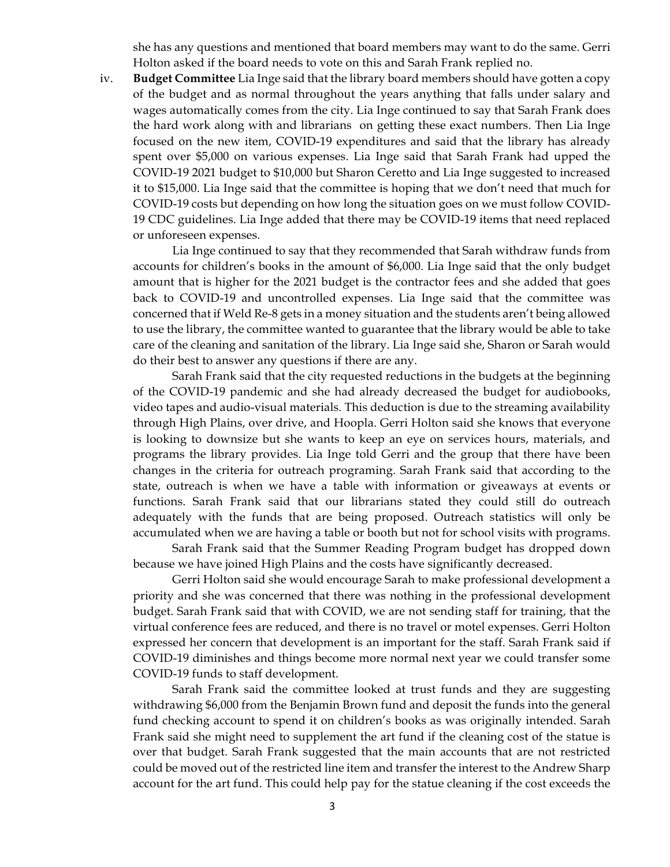she has any questions and mentioned that board members may want to do the same. Gerri Holton asked if the board needs to vote on this and Sarah Frank replied no.

iv. **Budget Committee** Lia Inge said that the library board members should have gotten a copy of the budget and as normal throughout the years anything that falls under salary and wages automatically comes from the city. Lia Inge continued to say that Sarah Frank does the hard work along with and librarians on getting these exact numbers. Then Lia Inge focused on the new item, COVID-19 expenditures and said that the library has already spent over \$5,000 on various expenses. Lia Inge said that Sarah Frank had upped the COVID-19 2021 budget to \$10,000 but Sharon Ceretto and Lia Inge suggested to increased it to \$15,000. Lia Inge said that the committee is hoping that we don't need that much for COVID-19 costs but depending on how long the situation goes on we must follow COVID-19 CDC guidelines. Lia Inge added that there may be COVID-19 items that need replaced or unforeseen expenses.

Lia Inge continued to say that they recommended that Sarah withdraw funds from accounts for children's books in the amount of \$6,000. Lia Inge said that the only budget amount that is higher for the 2021 budget is the contractor fees and she added that goes back to COVID-19 and uncontrolled expenses. Lia Inge said that the committee was concerned that if Weld Re-8 gets in a money situation and the students aren't being allowed to use the library, the committee wanted to guarantee that the library would be able to take care of the cleaning and sanitation of the library. Lia Inge said she, Sharon or Sarah would do their best to answer any questions if there are any.

Sarah Frank said that the city requested reductions in the budgets at the beginning of the COVID-19 pandemic and she had already decreased the budget for audiobooks, video tapes and audio-visual materials. This deduction is due to the streaming availability through High Plains, over drive, and Hoopla. Gerri Holton said she knows that everyone is looking to downsize but she wants to keep an eye on services hours, materials, and programs the library provides. Lia Inge told Gerri and the group that there have been changes in the criteria for outreach programing. Sarah Frank said that according to the state, outreach is when we have a table with information or giveaways at events or functions. Sarah Frank said that our librarians stated they could still do outreach adequately with the funds that are being proposed. Outreach statistics will only be accumulated when we are having a table or booth but not for school visits with programs.

Sarah Frank said that the Summer Reading Program budget has dropped down because we have joined High Plains and the costs have significantly decreased.

Gerri Holton said she would encourage Sarah to make professional development a priority and she was concerned that there was nothing in the professional development budget. Sarah Frank said that with COVID, we are not sending staff for training, that the virtual conference fees are reduced, and there is no travel or motel expenses. Gerri Holton expressed her concern that development is an important for the staff. Sarah Frank said if COVID-19 diminishes and things become more normal next year we could transfer some COVID-19 funds to staff development.

Sarah Frank said the committee looked at trust funds and they are suggesting withdrawing \$6,000 from the Benjamin Brown fund and deposit the funds into the general fund checking account to spend it on children's books as was originally intended. Sarah Frank said she might need to supplement the art fund if the cleaning cost of the statue is over that budget. Sarah Frank suggested that the main accounts that are not restricted could be moved out of the restricted line item and transfer the interest to the Andrew Sharp account for the art fund. This could help pay for the statue cleaning if the cost exceeds the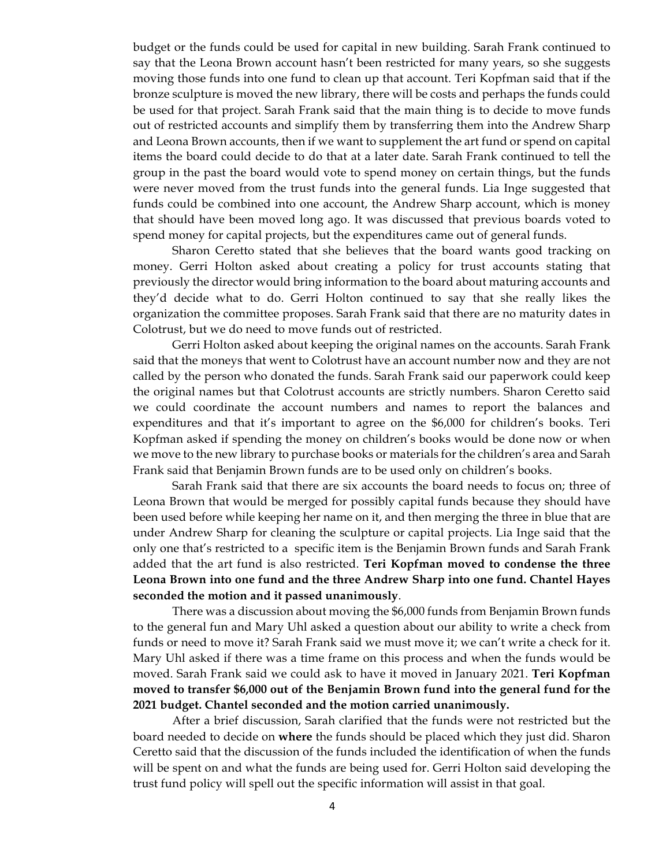budget or the funds could be used for capital in new building. Sarah Frank continued to say that the Leona Brown account hasn't been restricted for many years, so she suggests moving those funds into one fund to clean up that account. Teri Kopfman said that if the bronze sculpture is moved the new library, there will be costs and perhaps the funds could be used for that project. Sarah Frank said that the main thing is to decide to move funds out of restricted accounts and simplify them by transferring them into the Andrew Sharp and Leona Brown accounts, then if we want to supplement the art fund or spend on capital items the board could decide to do that at a later date. Sarah Frank continued to tell the group in the past the board would vote to spend money on certain things, but the funds were never moved from the trust funds into the general funds. Lia Inge suggested that funds could be combined into one account, the Andrew Sharp account, which is money that should have been moved long ago. It was discussed that previous boards voted to spend money for capital projects, but the expenditures came out of general funds.

Sharon Ceretto stated that she believes that the board wants good tracking on money. Gerri Holton asked about creating a policy for trust accounts stating that previously the director would bring information to the board about maturing accounts and they'd decide what to do. Gerri Holton continued to say that she really likes the organization the committee proposes. Sarah Frank said that there are no maturity dates in Colotrust, but we do need to move funds out of restricted.

Gerri Holton asked about keeping the original names on the accounts. Sarah Frank said that the moneys that went to Colotrust have an account number now and they are not called by the person who donated the funds. Sarah Frank said our paperwork could keep the original names but that Colotrust accounts are strictly numbers. Sharon Ceretto said we could coordinate the account numbers and names to report the balances and expenditures and that it's important to agree on the \$6,000 for children's books. Teri Kopfman asked if spending the money on children's books would be done now or when we move to the new library to purchase books or materials for the children's area and Sarah Frank said that Benjamin Brown funds are to be used only on children's books.

Sarah Frank said that there are six accounts the board needs to focus on; three of Leona Brown that would be merged for possibly capital funds because they should have been used before while keeping her name on it, and then merging the three in blue that are under Andrew Sharp for cleaning the sculpture or capital projects. Lia Inge said that the only one that's restricted to a specific item is the Benjamin Brown funds and Sarah Frank added that the art fund is also restricted. **Teri Kopfman moved to condense the three Leona Brown into one fund and the three Andrew Sharp into one fund. Chantel Hayes seconded the motion and it passed unanimously**.

There was a discussion about moving the \$6,000 funds from Benjamin Brown funds to the general fun and Mary Uhl asked a question about our ability to write a check from funds or need to move it? Sarah Frank said we must move it; we can't write a check for it. Mary Uhl asked if there was a time frame on this process and when the funds would be moved. Sarah Frank said we could ask to have it moved in January 2021. **Teri Kopfman moved to transfer \$6,000 out of the Benjamin Brown fund into the general fund for the 2021 budget. Chantel seconded and the motion carried unanimously.**

After a brief discussion, Sarah clarified that the funds were not restricted but the board needed to decide on **where** the funds should be placed which they just did. Sharon Ceretto said that the discussion of the funds included the identification of when the funds will be spent on and what the funds are being used for. Gerri Holton said developing the trust fund policy will spell out the specific information will assist in that goal.